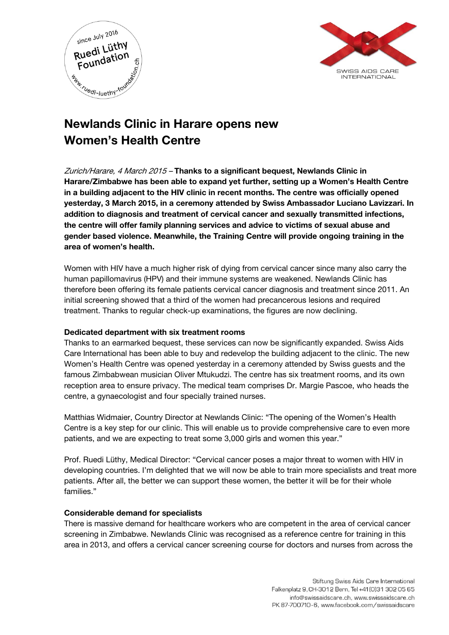



# Newlands Clinic in Harare opens new Women's Health Centre

Zurich/Harare, 4 March 2015 - Thanks to a significant bequest, Newlands Clinic in Harare/Zimbabwe has been able to expand yet further, setting up a Women's Health Centre in a building adjacent to the HIV clinic in recent months. The centre was officially opened yesterday, 3 March 2015, in a ceremony attended by Swiss Ambassador Luciano Lavizzari. In addition to diagnosis and treatment of cervical cancer and sexually transmitted infections, the centre will offer family planning services and advice to victims of sexual abuse and gender based violence. Meanwhile, the Training Centre will provide ongoing training in the area of women's health.

Women with HIV have a much higher risk of dying from cervical cancer since many also carry the human papillomavirus (HPV) and their immune systems are weakened. Newlands Clinic has therefore been offering its female patients cervical cancer diagnosis and treatment since 2011. An initial screening showed that a third of the women had precancerous lesions and required treatment. Thanks to regular check-up examinations, the figures are now declining.

## Dedicated department with six treatment rooms

Thanks to an earmarked bequest, these services can now be significantly expanded. Swiss Aids Care International has been able to buy and redevelop the building adjacent to the clinic. The new Women's Health Centre was opened yesterday in a ceremony attended by Swiss guests and the famous Zimbabwean musician Oliver Mtukudzi. The centre has six treatment rooms, and its own reception area to ensure privacy. The medical team comprises Dr. Margie Pascoe, who heads the centre, a gynaecologist and four specially trained nurses.

Matthias Widmaier, Country Director at Newlands Clinic: "The opening of the Women's Health Centre is a key step for our clinic. This will enable us to provide comprehensive care to even more patients, and we are expecting to treat some 3,000 girls and women this year."

Prof. Ruedi Lüthy, Medical Director: "Cervical cancer poses a major threat to women with HIV in developing countries. I'm delighted that we will now be able to train more specialists and treat more patients. After all, the better we can support these women, the better it will be for their whole families."

## Considerable demand for specialists

There is massive demand for healthcare workers who are competent in the area of cervical cancer screening in Zimbabwe. Newlands Clinic was recognised as a reference centre for training in this area in 2013, and offers a cervical cancer screening course for doctors and nurses from across the